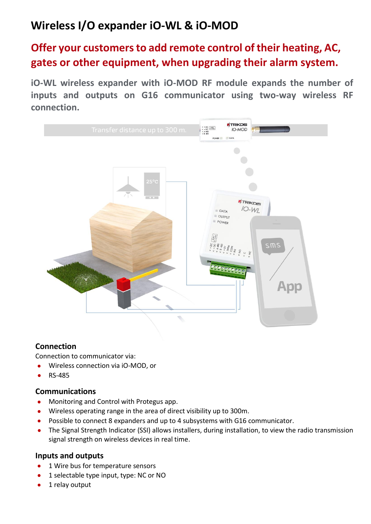# **Wireless I/O expander iO-WL & iO-MOD**

## **Offer your customersto add remote control of their heating, AC, gates or other equipment, when upgrading their alarm system.**

**iO-WL wireless expander with iO-MOD RF module expands the number of inputs and outputs on G16 communicator using two-way wireless RF connection.**



## **Connection**

Connection to communicator via:

- Wireless connection via iO-MOD, or
- RS-485

#### **Communications**

- **•** Monitoring and Control with Protegus app.
- Wireless operating range in the area of direct visibility up to 300m.
- Possible to connect 8 expanders and up to 4 subsystems with G16 communicator.
- The Signal Strength Indicator (SSI) allows installers, during installation, to view the radio transmission signal strength on wireless devices in real time.

## **Inputs and outputs**

- 1 Wire bus for temperature sensors
- 1 selectable type input, type: NC or NO
- 1 relay output